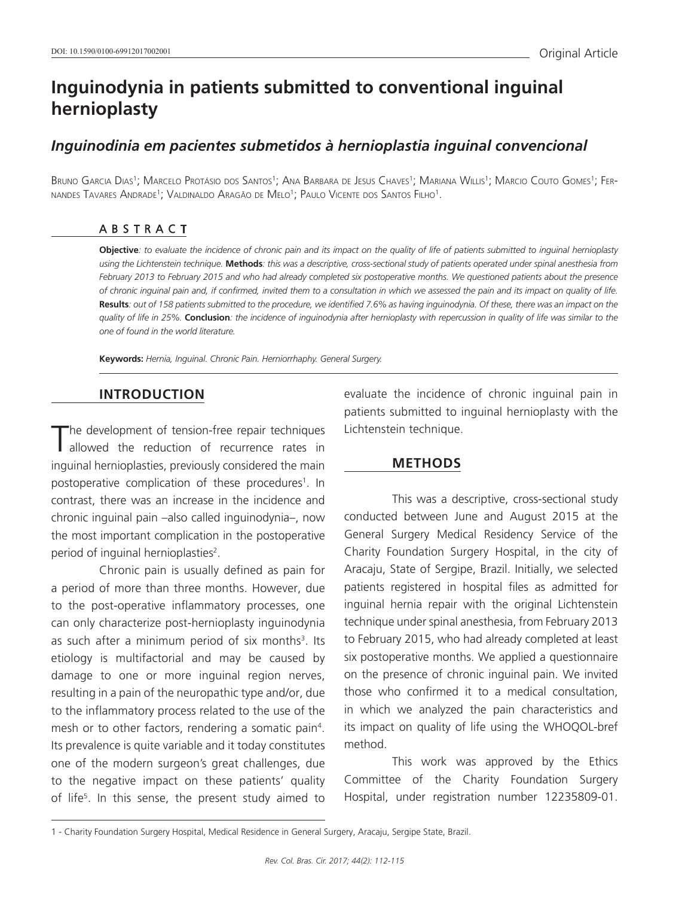# **Inguinodynia in patients submitted to conventional inguinal hernioplasty**

# *Inguinodinia em pacientes submetidos à hernioplastia inguinal convencional*

Bruno Garcia Dias<sup>1</sup>; Marcelo Protásio dos Santos<sup>1</sup>; Ana Barbara de Jesus Chaves<sup>1</sup>; Mariana Willis<sup>1</sup>; Marcio Couto Gomes<sup>1</sup>; Fernandes Tavares Andrade<sup>1</sup>; Valdinaldo Aragão de Melo<sup>1</sup>; Paulo Vicente dos Santos Filho<sup>1</sup>.

## ABSTRACT

**Objective***: to evaluate the incidence of chronic pain and its impact on the quality of life of patients submitted to inguinal hernioplasty using the Lichtenstein technique.* **Methods***: this was a descriptive, cross-sectional study of patients operated under spinal anesthesia from February 2013 to February 2015 and who had already completed six postoperative months. We questioned patients about the presence of chronic inguinal pain and, if confirmed, invited them to a consultation in which we assessed the pain and its impact on quality of life.*  **Results***: out of 158 patients submitted to the procedure, we identified 7.6% as having inguinodynia. Of these, there was an impact on the quality of life in 25%.* **Conclusion***: the incidence of inguinodynia after hernioplasty with repercussion in quality of life was similar to the one of found in the world literature.*

**Keywords:** *Hernia, Inguinal. Chronic Pain. Herniorrhaphy. General Surgery.*

## **INTRODUCTION**

The development of tension-free repair techniques allowed the reduction of recurrence rates in inguinal hernioplasties, previously considered the main postoperative complication of these procedures<sup>1</sup>. In contrast, there was an increase in the incidence and chronic inguinal pain –also called inguinodynia–, now the most important complication in the postoperative period of inguinal hernioplasties<sup>2</sup>.

Chronic pain is usually defined as pain for a period of more than three months. However, due to the post-operative inflammatory processes, one can only characterize post-hernioplasty inguinodynia as such after a minimum period of six months<sup>3</sup>. Its etiology is multifactorial and may be caused by damage to one or more inguinal region nerves, resulting in a pain of the neuropathic type and/or, due to the inflammatory process related to the use of the mesh or to other factors, rendering a somatic pain<sup>4</sup>. Its prevalence is quite variable and it today constitutes one of the modern surgeon's great challenges, due to the negative impact on these patients' quality of life5 . In this sense, the present study aimed to evaluate the incidence of chronic inguinal pain in patients submitted to inguinal hernioplasty with the Lichtenstein technique.

### **METHODS**

This was a descriptive, cross-sectional study conducted between June and August 2015 at the General Surgery Medical Residency Service of the Charity Foundation Surgery Hospital, in the city of Aracaju, State of Sergipe, Brazil. Initially, we selected patients registered in hospital files as admitted for inguinal hernia repair with the original Lichtenstein technique under spinal anesthesia, from February 2013 to February 2015, who had already completed at least six postoperative months. We applied a questionnaire on the presence of chronic inguinal pain. We invited those who confirmed it to a medical consultation, in which we analyzed the pain characteristics and its impact on quality of life using the WHOQOL-bref method.

This work was approved by the Ethics Committee of the Charity Foundation Surgery Hospital, under registration number 12235809-01.

<sup>1 -</sup> Charity Foundation Surgery Hospital, Medical Residence in General Surgery, Aracaju, Sergipe State, Brazil.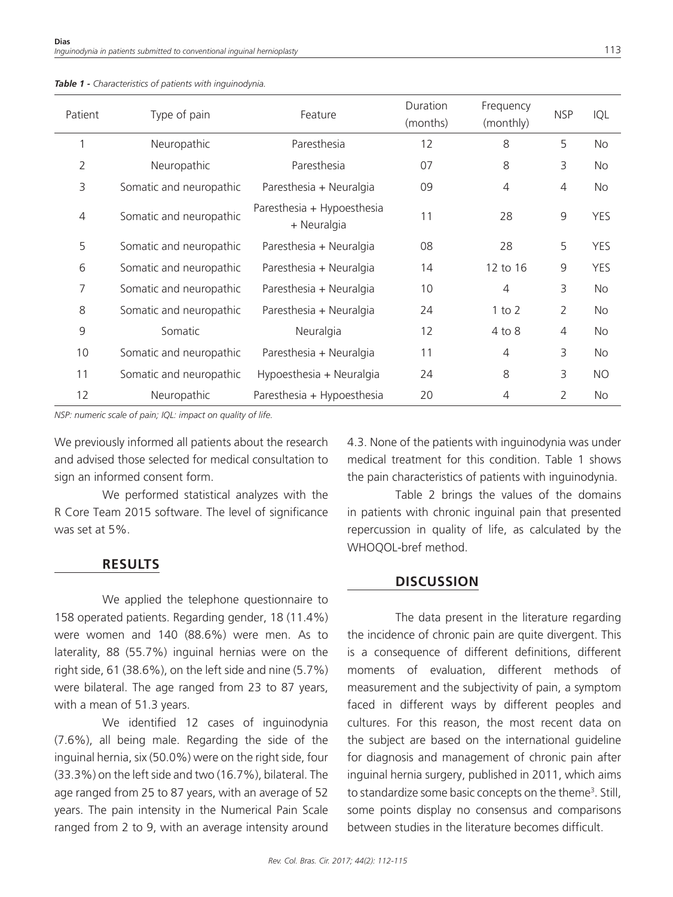| Patient        | Type of pain            | Feature                                   | Duration<br>(months) | Frequency<br>(monthly) | <b>NSP</b>     | IQL        |
|----------------|-------------------------|-------------------------------------------|----------------------|------------------------|----------------|------------|
|                | Neuropathic             | Paresthesia                               | 12                   | 8                      | 5              | <b>No</b>  |
| $\overline{2}$ | Neuropathic             | Paresthesia                               | 07                   | 8                      | 3              | <b>No</b>  |
| 3              | Somatic and neuropathic | Paresthesia + Neuralgia                   | 09                   | $\overline{4}$         | 4              | No.        |
| 4              | Somatic and neuropathic | Paresthesia + Hypoesthesia<br>+ Neuralgia | 11                   | 28                     | 9              | <b>YES</b> |
| 5              | Somatic and neuropathic | Paresthesia + Neuralgia                   | 08                   | 28                     | 5              | <b>YES</b> |
| 6              | Somatic and neuropathic | Paresthesia + Neuralgia                   | 14                   | 12 to 16               | 9              | <b>YES</b> |
| 7              | Somatic and neuropathic | Paresthesia + Neuralgia                   | 10                   | $\overline{4}$         | 3              | <b>No</b>  |
| 8              | Somatic and neuropathic | Paresthesia + Neuralgia                   | 24                   | $1$ to $2$             | $\overline{2}$ | No         |
| 9              | Somatic                 | Neuralgia                                 | 12                   | 4 to 8                 | 4              | No         |
| 10             | Somatic and neuropathic | Paresthesia + Neuralgia                   | 11                   | $\overline{4}$         | 3              | No.        |
| 11             | Somatic and neuropathic | Hypoesthesia + Neuralgia                  | 24                   | 8                      | 3              | NO         |
| 12             | Neuropathic             | Paresthesia + Hypoesthesia                | 20                   | 4                      | 2              | <b>No</b>  |

#### *Table 1 - Characteristics of patients with inguinodynia.*

*NSP: numeric scale of pain; IQL: impact on quality of life.*

We previously informed all patients about the research and advised those selected for medical consultation to sign an informed consent form.

We performed statistical analyzes with the R Core Team 2015 software. The level of significance was set at 5%.

### **RESULTS**

We applied the telephone questionnaire to 158 operated patients. Regarding gender, 18 (11.4%) were women and 140 (88.6%) were men. As to laterality, 88 (55.7%) inguinal hernias were on the right side, 61 (38.6%), on the left side and nine (5.7%) were bilateral. The age ranged from 23 to 87 years, with a mean of 51.3 years.

We identified 12 cases of inguinodynia (7.6%), all being male. Regarding the side of the inguinal hernia, six (50.0%) were on the right side, four (33.3%) on the left side and two (16.7%), bilateral. The age ranged from 25 to 87 years, with an average of 52 years. The pain intensity in the Numerical Pain Scale ranged from 2 to 9, with an average intensity around 4.3. None of the patients with inguinodynia was under medical treatment for this condition. Table 1 shows the pain characteristics of patients with inguinodynia.

Table 2 brings the values of the domains in patients with chronic inguinal pain that presented repercussion in quality of life, as calculated by the WHOQOL-bref method.

#### **DISCUSSION**

The data present in the literature regarding the incidence of chronic pain are quite divergent. This is a consequence of different definitions, different moments of evaluation, different methods of measurement and the subjectivity of pain, a symptom faced in different ways by different peoples and cultures. For this reason, the most recent data on the subject are based on the international guideline for diagnosis and management of chronic pain after inguinal hernia surgery, published in 2011, which aims to standardize some basic concepts on the theme<sup>3</sup>. Still, some points display no consensus and comparisons between studies in the literature becomes difficult.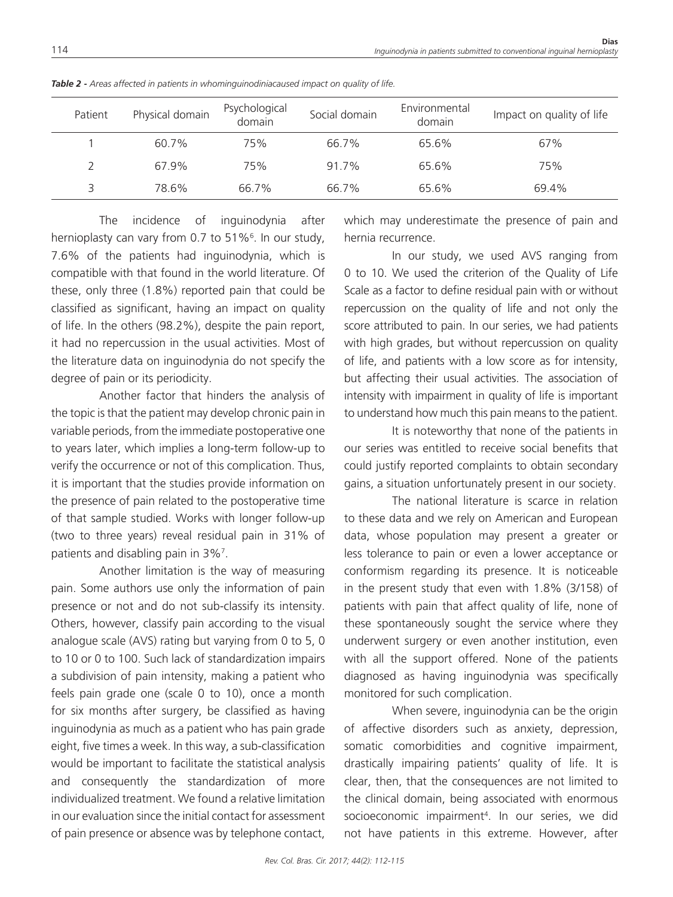| Patient | Physical domain | Psychological<br>domain | Social domain | Environmental<br>domain | Impact on quality of life |
|---------|-----------------|-------------------------|---------------|-------------------------|---------------------------|
|         | 60.7%           | 75%                     | 66.7%         | 65.6%                   | 67%                       |
|         | 67.9%           | 75%                     | 91.7%         | 65.6%                   | 75%                       |
|         | 78.6%           | 66.7%                   | 66.7%         | 65.6%                   | 69.4%                     |

*Table 2 - Areas affected in patients in whominguinodiniacaused impact on quality of life.*

The incidence of inguinodynia after hernioplasty can vary from 0.7 to 51%<sup>6</sup>. In our study, 7.6% of the patients had inguinodynia, which is compatible with that found in the world literature. Of these, only three (1.8%) reported pain that could be classified as significant, having an impact on quality of life. In the others (98.2%), despite the pain report, it had no repercussion in the usual activities. Most of the literature data on inguinodynia do not specify the degree of pain or its periodicity.

Another factor that hinders the analysis of the topic is that the patient may develop chronic pain in variable periods, from the immediate postoperative one to years later, which implies a long-term follow-up to verify the occurrence or not of this complication. Thus, it is important that the studies provide information on the presence of pain related to the postoperative time of that sample studied. Works with longer follow-up (two to three years) reveal residual pain in 31% of patients and disabling pain in 3%<sup>7</sup>.

Another limitation is the way of measuring pain. Some authors use only the information of pain presence or not and do not sub-classify its intensity. Others, however, classify pain according to the visual analogue scale (AVS) rating but varying from 0 to 5, 0 to 10 or 0 to 100. Such lack of standardization impairs a subdivision of pain intensity, making a patient who feels pain grade one (scale 0 to 10), once a month for six months after surgery, be classified as having inguinodynia as much as a patient who has pain grade eight, five times a week. In this way, a sub-classification would be important to facilitate the statistical analysis and consequently the standardization of more individualized treatment. We found a relative limitation in our evaluation since the initial contact for assessment of pain presence or absence was by telephone contact,

which may underestimate the presence of pain and hernia recurrence.

In our study, we used AVS ranging from 0 to 10. We used the criterion of the Quality of Life Scale as a factor to define residual pain with or without repercussion on the quality of life and not only the score attributed to pain. In our series, we had patients with high grades, but without repercussion on quality of life, and patients with a low score as for intensity, but affecting their usual activities. The association of intensity with impairment in quality of life is important to understand how much this pain means to the patient.

It is noteworthy that none of the patients in our series was entitled to receive social benefits that could justify reported complaints to obtain secondary gains, a situation unfortunately present in our society.

The national literature is scarce in relation to these data and we rely on American and European data, whose population may present a greater or less tolerance to pain or even a lower acceptance or conformism regarding its presence. It is noticeable in the present study that even with 1.8% (3/158) of patients with pain that affect quality of life, none of these spontaneously sought the service where they underwent surgery or even another institution, even with all the support offered. None of the patients diagnosed as having inguinodynia was specifically monitored for such complication.

When severe, inguinodynia can be the origin of affective disorders such as anxiety, depression, somatic comorbidities and cognitive impairment, drastically impairing patients' quality of life. It is clear, then, that the consequences are not limited to the clinical domain, being associated with enormous socioeconomic impairment<sup>4</sup>. In our series, we did not have patients in this extreme. However, after